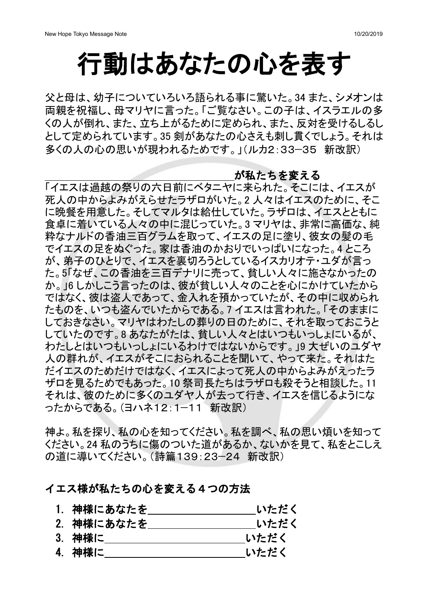# 行動はあなたの心を表す

父と母は、幼子についていろいろ語られる事に驚いた。34 また、シメオンは 両親を祝福し、母マリヤに言った。「ご覧なさい。この子は、イスラエルの多 くの人が倒れ、また、立ち上がるために定められ、また、反対を受けるしるし として定められています。35 剣があなたの心さえも刺し貫くでしょう。それは 多くの人の心の思いが現われるためです。」(ルカ2:33-35 新改訳)

#### が私たちを変える

「イエスは過越の祭りの六日前にベタニヤに来られた。そこには、イエスが 死人の中からよみがえらせたラザロがいた。2人々はイエスのために、そこ に晩餐を用意した。そしてマルタは給仕していた。ラザロは、イエスとともに 食卓に着いている人々の中に混じっていた。3 マリヤは、非常に高価な、純 粋なナルドの香油三百グラムを取って、イエスの足に塗り、彼女の髪の毛 でイエスの足をぬぐった。家は香油のかおりでいっぱいになった。4ところ が、弟子のひとりで、イエスを裏切ろうとしているイスカリオテ・ユダが言っ た。5「なぜ、この香油を三百デナリに売って、貧しい人々に施さなかったの か。」6しかしこう言ったのは、彼が貧しい人々のことを心にかけていたから ではなく、彼は盗人であって、金入れを預かっていたが、その中に収められ たものを、いつも盗んでいたからである。フ イエスは言われた。「そのままに しておきなさい。マリヤはわたしの葬りの日のために、それを取っておこうと していたのです。8あなたがたは、貧しい人々とはいつもいっしょにいるが、 わたしとはいつもいっしょにいるわけではないからです。」9 大ぜいのユダヤ 人の群れが、イエスがそこにおられることを聞いて、やって来た。それはた だイエスのためだけではなく、イエスによって死人の中からよみがえったラ ザロを見るためでもあった。10祭司長たちはラザロも殺そうと相談した。11 それは、彼のために多くのユダヤ人が去って行き、イエスを信じるようにな ったからである。(ヨハネ12:1-11 新改訳)

神よ。私を探り、私の心を知ってください。私を調べ、私の思い煩いを知って ください。24 私のうちに傷のついた道があるか、ないかを見て、私をとこしえ の道に導いてください。(詩篇139:23-24 新改訳)

### イエス様が私たちの心を変える4つの方法

- 1. 神様にあなたを いただく
- 2. 神様にあなたを いただく
- 3. 神様に いっちょう いただく
- 4. 神様に いただく いただく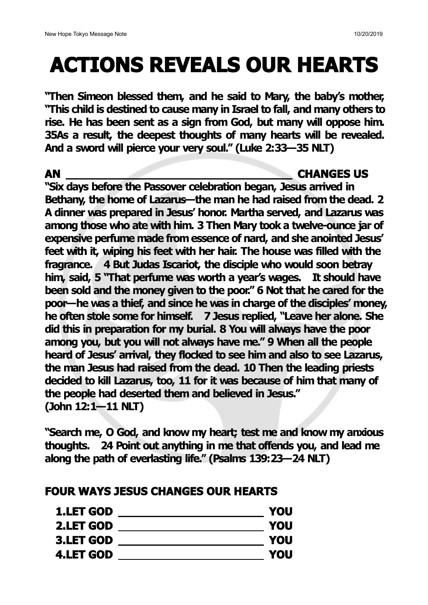# **ACTIONS REVEALS OUR HEARTS**

**"Then Simeon blessed them, and he said to Mary, the baby's mother, "This child is destined to cause many in Israel to fall, and many others to rise. He has been sent as a sign from God, but many will oppose him. 35As a result, the deepest thoughts of many hearts will be revealed. And a sword will pierce your very soul." (Luke 2:33—35 NLT)**

### **AN CHANGES US**

**"Six days before the Passover celebration began, Jesus arrived in Bethany, the home of Lazarus—the man he had raised from the dead. 2 A dinner was prepared in Jesus' honor. Martha served, and Lazarus was among those who ate with him. 3 Then Mary took a twelve-ounce jar of expensive perfume made fromessence of nard, and she anointed Jesus' feet with it, wiping his feet with her hair. The house was filled with the fragrance. 4 But Judas Iscariot,the disciple who would soon betray him, said, 5 "That perfume was worth ayear's wages. It should have been sold and the money given to the poor." 6 Not that he cared for the poor—he was a thief, and since he was in charge of the disciples' money, he often stole some for himself. 7 Jesus replied, "Leave her alone. She did this in preparation for my burial. 8 You will always have the poor among you, but you will not always have me." 9 When all the people heard of Jesus' arrival, they flocked to see him and also to see Lazarus, the man Jesus had raised from the dead. 10 Then the leading priests decided to kill Lazarus, too, 11 for it was because of him that many of the people had deserted them and believed in Jesus." (John 12:1—11 NLT)**

**"Search me, O God, and know my heart; test me and know my anxious thoughts. 24 Point out anything in me that offends you, and lead me along the path of everlasting life." (Psalms 139:23—24 NLT)**

## **FOUR WAYS JESUS CHANGES OUR HEARTS**

| <b>YOU</b> |
|------------|
| <b>YOU</b> |
| <b>YOU</b> |
| <b>YOU</b> |
|            |